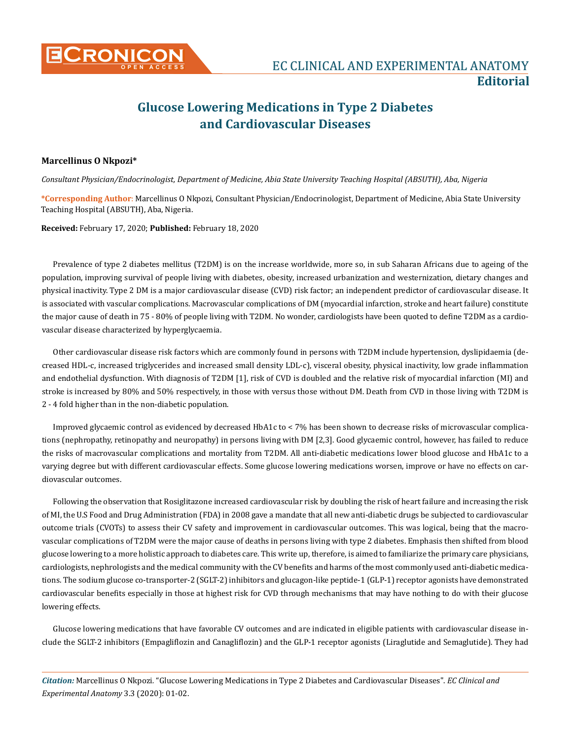

## **Glucose Lowering Medications in Type 2 Diabetes and Cardiovascular Diseases**

## **Marcellinus O Nkpozi\***

*Consultant Physician/Endocrinologist, Department of Medicine, Abia State University Teaching Hospital (ABSUTH), Aba, Nigeria*

**\*Corresponding Author**: Marcellinus O Nkpozi, Consultant Physician/Endocrinologist, Department of Medicine, Abia State University Teaching Hospital (ABSUTH), Aba, Nigeria.

## **Received:** February 17, 2020; **Published:** February 18, 2020

Prevalence of type 2 diabetes mellitus (T2DM) is on the increase worldwide, more so, in sub Saharan Africans due to ageing of the population, improving survival of people living with diabetes, obesity, increased urbanization and westernization, dietary changes and physical inactivity. Type 2 DM is a major cardiovascular disease (CVD) risk factor; an independent predictor of cardiovascular disease. It is associated with vascular complications. Macrovascular complications of DM (myocardial infarction, stroke and heart failure) constitute the major cause of death in 75 - 80% of people living with T2DM. No wonder, cardiologists have been quoted to define T2DM as a cardiovascular disease characterized by hyperglycaemia.

Other cardiovascular disease risk factors which are commonly found in persons with T2DM include hypertension, dyslipidaemia (decreased HDL-c, increased triglycerides and increased small density LDL-c), visceral obesity, physical inactivity, low grade inflammation and endothelial dysfunction. With diagnosis of T2DM [1], risk of CVD is doubled and the relative risk of myocardial infarction (MI) and stroke is increased by 80% and 50% respectively, in those with versus those without DM. Death from CVD in those living with T2DM is 2 - 4 fold higher than in the non-diabetic population.

Improved glycaemic control as evidenced by decreased HbA1c to < 7% has been shown to decrease risks of microvascular complications (nephropathy, retinopathy and neuropathy) in persons living with DM [2,3]. Good glycaemic control, however, has failed to reduce the risks of macrovascular complications and mortality from T2DM. All anti-diabetic medications lower blood glucose and HbA1c to a varying degree but with different cardiovascular effects. Some glucose lowering medications worsen, improve or have no effects on cardiovascular outcomes.

Following the observation that Rosiglitazone increased cardiovascular risk by doubling the risk of heart failure and increasing the risk of MI, the U.S Food and Drug Administration (FDA) in 2008 gave a mandate that all new anti-diabetic drugs be subjected to cardiovascular outcome trials (CVOTs) to assess their CV safety and improvement in cardiovascular outcomes. This was logical, being that the macrovascular complications of T2DM were the major cause of deaths in persons living with type 2 diabetes. Emphasis then shifted from blood glucose lowering to a more holistic approach to diabetes care. This write up, therefore, is aimed to familiarize the primary care physicians, cardiologists, nephrologists and the medical community with the CV benefits and harms of the most commonly used anti-diabetic medications. The sodium glucose co-transporter-2 (SGLT-2) inhibitors and glucagon-like peptide-1 (GLP-1) receptor agonists have demonstrated cardiovascular benefits especially in those at highest risk for CVD through mechanisms that may have nothing to do with their glucose lowering effects.

Glucose lowering medications that have favorable CV outcomes and are indicated in eligible patients with cardiovascular disease include the SGLT-2 inhibitors (Empagliflozin and Canagliflozin) and the GLP-1 receptor agonists (Liraglutide and Semaglutide). They had

*Citation:* Marcellinus O Nkpozi*.* "Glucose Lowering Medications in Type 2 Diabetes and Cardiovascular Diseases". *EC Clinical and Experimental Anatomy* 3.3 (2020): 01-02.